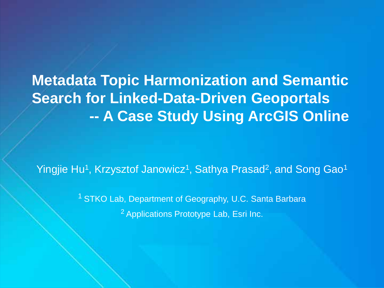**Metadata Topic Harmonization and Semantic Search for Linked-Data-Driven Geoportals -- A Case Study Using ArcGIS Online**

Yingjie Hu<sup>1</sup>, Krzysztof Janowicz<sup>1</sup>, Sathya Prasad<sup>2</sup>, and Song Gao<sup>1</sup>

<sup>1</sup> STKO Lab, Department of Geography, U.C. Santa Barbara 2 Applications Prototype Lab, Esri Inc.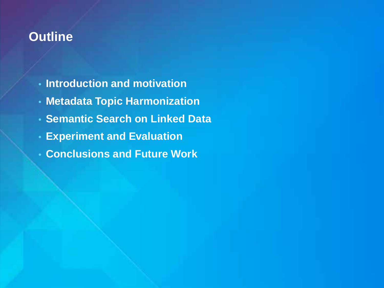## **Outline**

- **Introduction and motivation**
- **Metadata Topic Harmonization**
- **Semantic Search on Linked Data**
- **Experiment and Evaluation**
- **Conclusions and Future Work**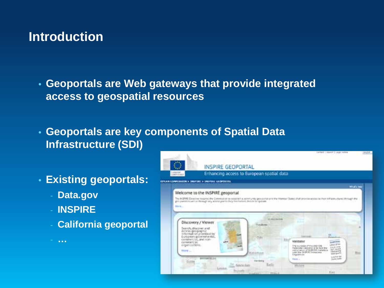• **Geoportals are Web gateways that provide integrated access to geospatial resources**

• **Geoportals are key components of Spatial Data Infrastructure (SDI)**

- **Existing geoportals:**
	- **Data.gov**
	- **INSPIRE**

- **…**

- **California geoportal**

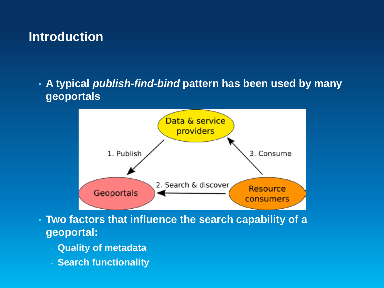• **A typical** *publish-find-bind* **pattern has been used by many geoportals**



- **Two factors that influence the search capability of a geoportal:**
	- **Quality of metadata**
	- **Search functionality**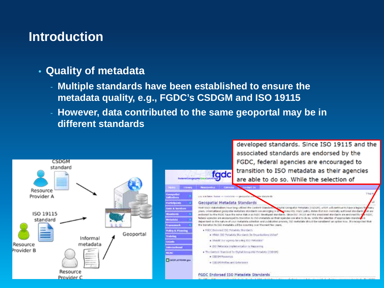#### • **Quality of metadata**

- **Multiple standards have been established to ensure the metadata quality, e.g., FGDC's CSDGM and ISO 19115**
- **However, data contributed to the same geoportal may be in different standards**

developed standards. Since ISO 19115 and the

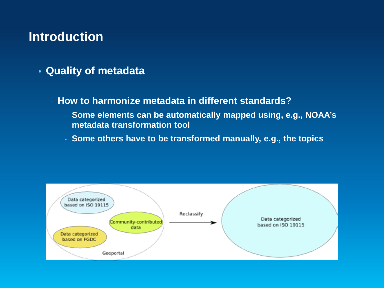- **Quality of metadata**
	- **How to harmonize metadata in different standards?**
		- **Some elements can be automatically mapped using, e.g., NOAA's metadata transformation tool**
		- **Some others have to be transformed manually, e.g., the topics**

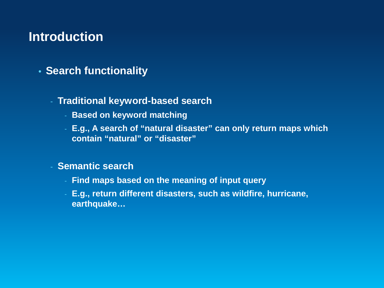• **Search functionality**

#### - **Traditional keyword-based search**

- **Based on keyword matching**
- **E.g., A search of "natural disaster" can only return maps which contain "natural" or "disaster"**

#### - **Semantic search**

- **Find maps based on the meaning of input query**
- **E.g., return different disasters, such as wildfire, hurricane, earthquake…**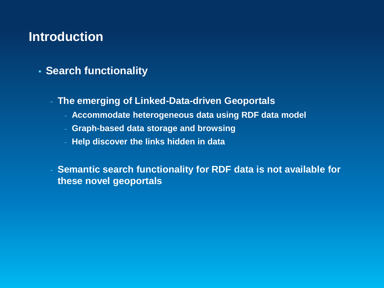- **Search functionality**
	- **The emerging of Linked-Data-driven Geoportals**
		- **Accommodate heterogeneous data using RDF data model**
		- **Graph-based data storage and browsing**
		- **Help discover the links hidden in data**

- **Semantic search functionality for RDF data is not available for these novel geoportals**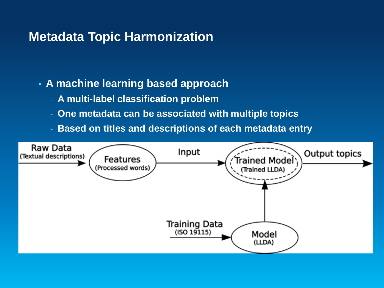## **Metadata Topic Harmonization**

- **A machine learning based approach**
	- **A multi-label classification problem**
	- **One metadata can be associated with multiple topics**
	- **Based on titles and descriptions of each metadata entry**

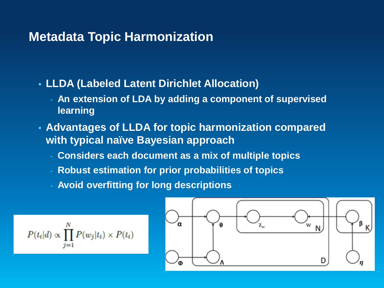## **Metadata Topic Harmonization**

- **LLDA (Labeled Latent Dirichlet Allocation)**
	- **An extension of LDA by adding a component of supervised learning**
- **Advantages of LLDA for topic harmonization compared with typical naïve Bayesian approach**
	- **Considers each document as a mix of multiple topics**
	- **Robust estimation for prior probabilities of topics**
	- **Avoid overfitting for long descriptions**

$$
P(t_i|d) \propto \prod_{j=1}^N P(w_j|t_i) \times P(t_i)
$$

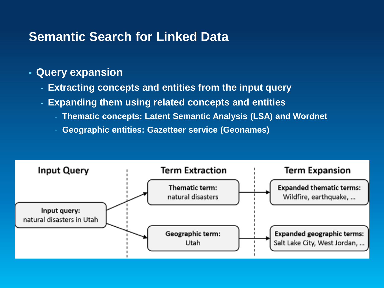#### • **Query expansion**

- **Extracting concepts and entities from the input query**
- **Expanding them using related concepts and entities**
	- **Thematic concepts: Latent Semantic Analysis (LSA) and Wordnet**
	- **Geographic entities: Gazetteer service (Geonames)**

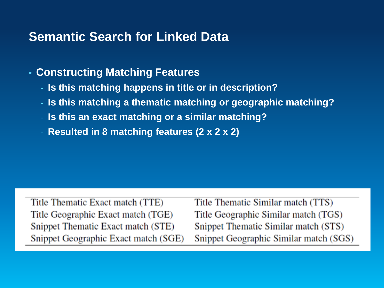## • **Constructing Matching Features**

- **Is this matching happens in title or in description?**
- **Is this matching a thematic matching or geographic matching?**
- **Is this an exact matching or a similar matching?**
- **Resulted in 8 matching features (2 x 2 x 2)**

Title Thematic Exact match (TTE) Title Geographic Exact match (TGE) Snippet Thematic Exact match (STE) Snippet Geographic Exact match (SGE) Title Thematic Similar match (TTS) Title Geographic Similar match (TGS) Snippet Thematic Similar match (STS) Snippet Geographic Similar match (SGS)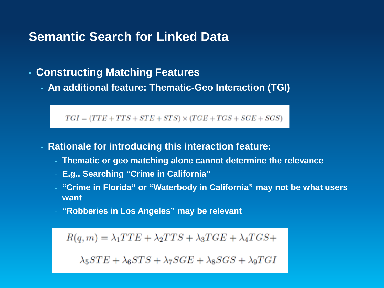#### • **Constructing Matching Features**

- **An additional feature: Thematic-Geo Interaction (TGI)**

 $TGI = (TTE + TTS + STE + STS) \times (TGE + TGS + SGE + SGS)$ 

- **Rationale for introducing this interaction feature:**
	- **Thematic or geo matching alone cannot determine the relevance**
	- **E.g., Searching "Crime in California"**
	- **"Crime in Florida" or "Waterbody in California" may not be what users want**
	- **"Robberies in Los Angeles" may be relevant**

 $R(q,m) = \lambda_1 TTE + \lambda_2 TTS + \lambda_3 TGE + \lambda_4 TGS +$ 

 $\lambda_5STE + \lambda_6STS + \lambda_7SGE + \lambda_8SGS + \lambda_9TGI$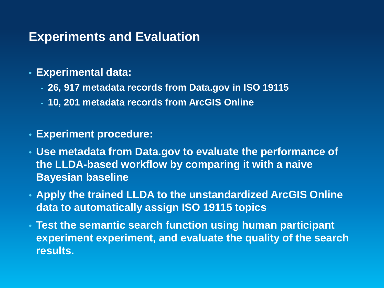- **Experimental data:**
	- **26, 917 metadata records from Data.gov in ISO 19115**
	- **10, 201 metadata records from ArcGIS Online**
- **Experiment procedure:**
- **Use metadata from Data.gov to evaluate the performance of the LLDA-based workflow by comparing it with a naive Bayesian baseline**
- **Apply the trained LLDA to the unstandardized ArcGIS Online data to automatically assign ISO 19115 topics**
- **Test the semantic search function using human participant experiment experiment, and evaluate the quality of the search results.**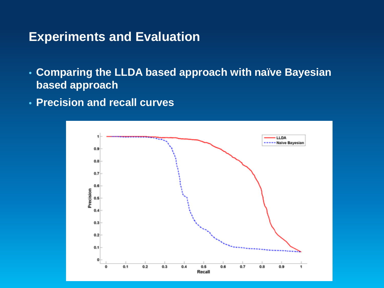- **Comparing the LLDA based approach with naïve Bayesian based approach**
- **Precision and recall curves**

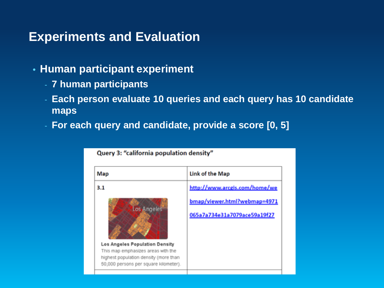- **Human participant experiment**
	- **7 human participants**
	- **Each person evaluate 10 queries and each query has 10 candidate maps**
	- **For each query and candidate, provide a score [0, 5]**

Query 3: "california population density"

| Map                                                                                                                                                                   | Link of the Map                                              |
|-----------------------------------------------------------------------------------------------------------------------------------------------------------------------|--------------------------------------------------------------|
| 3.1                                                                                                                                                                   | http://www.arcgis.com/home/we                                |
| Los Angeles<br>Los Angeles Population Density<br>This map emphasizes areas with the<br>highest population density (more than<br>50,000 persons per square kilometer). | bmap/viewer.html?webmap=4971<br>065a7a734e31a7079ace59a19f27 |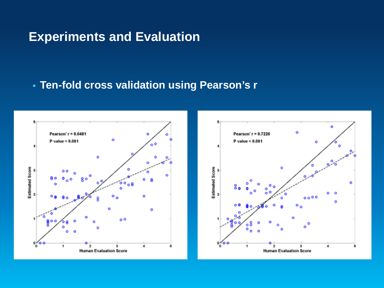### • **Ten-fold cross validation using Pearson's r**



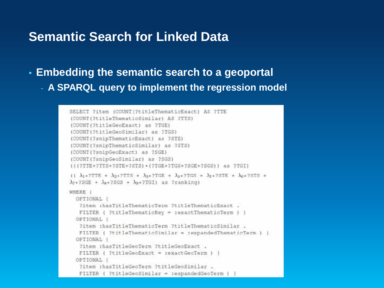- **Embedding the semantic search to a geoportal**
	- **A SPARQL query to implement the regression model**

```
SELECT ?item (COUNT(?titleThematicExact) AS ?TTE
(COUNT(?titleThematicSimilar) AS ?TTS)
(COUNT(?titleGeoExact) as ?TGE)
(COUNT(?titleGeoSimilar) as ?TGS)
(COUNT(?snipThematicExact) as ?STE)
(COUNT(?snipThematicSimilar) as ?STS)
(COUNT(?snipGeoExact) as ?SGE)
(COUNT(?snipGeoSimilar) as ?SGS)
(((?TTE+?TTS+?STE+?STS)*(?TGE+?TGS+?SGE+?SGS)) as ?TGI)
(1 \lambda_1 * 2TTE + \lambda_2 * 2TTS + \lambda_3 * 2TGE + \lambda_4 * 2TGS + \lambda_5 * 2STE + \lambda_6 * 2STS +\lambda<sub>7</sub> + ?SGE + \lambdas + ?SGS + \lambda<sub>9</sub> + ?TGI) as ?ranking)
WHERE (
  OPTIONAL {
   ?item :hasTitleThematicTerm ?titleThematicExact .
   FILTER ( ?titleThematicKey = :exactThematicTerm ) }
  OPTIONAL (
   ?item :hasTitleThematicTerm ?titleThematicSimilar .
   FILTER ( 2titleThematicSimilar = :expandedThematicTerm ) }
  OPTIONAL (
   ?item :hasTitleGeoTerm ?titleGeoExact .
   FILTER ( ?titleGeoExact = :exactGeoTerm ) )
  OPTIONAL (
   ?item :hasTitleGeoTerm ?titleGeoSimilar .
   FILTER ( ?titleGeoSimilar = :expandedGeoTerm
```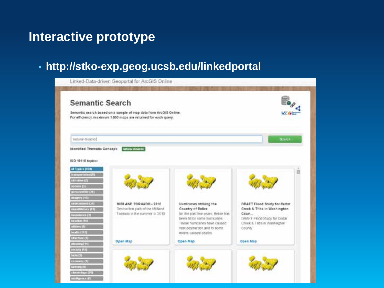## **Interactive prototype**

## • **http://stko-exp.geog.ucsb.edu/linkedportal**

| <b>Semantic Search</b>                 |                                                                   |                                                         |                                      |
|----------------------------------------|-------------------------------------------------------------------|---------------------------------------------------------|--------------------------------------|
|                                        | Semartic search based on a sample of map data from ArcGIS Online. |                                                         |                                      |
|                                        | For efficiency, maximum 1,000 maps are returned for each query.   |                                                         |                                      |
| natural disaster]                      |                                                                   |                                                         | Search                               |
| Identified Thematic Concept:           | meteral disaster                                                  |                                                         |                                      |
|                                        |                                                                   |                                                         |                                      |
| ISO 19118 topics:                      |                                                                   |                                                         |                                      |
| at Topics (254)<br>States (windows (R) |                                                                   |                                                         |                                      |
| <b>Channel Co.</b>                     |                                                                   |                                                         |                                      |
| <b>KOURSELL</b>                        |                                                                   |                                                         |                                      |
| grounded (OU)                          |                                                                   |                                                         |                                      |
| massive (199)                          |                                                                   |                                                         |                                      |
| <b>DO SHIRLAND</b>                     | MIDLAND TORNADO - 2010                                            | Hurricanes striking the                                 | DRAFT Flood Study for Cedar.         |
| <b>BRANCHING (ST)</b>                  | Destruction pach of the Midland<br>Tomado in the summer of 2013   | Country of Belize<br>for the past few years, Belize has | Creek & Tribs in Washington<br>Coun. |
|                                        |                                                                   |                                                         |                                      |
| teaching (1)                           |                                                                   | been hit by some humicaties.                            | DRAFT Flood Stady for Cedar.         |
| <b>CONTINUES</b>                       |                                                                   | These humcanes have caused.                             | Creek & Tribs in Washington          |
| abilities (10)<br>beatty (197)         |                                                                   | vast destruction and to some-                           | <b>County</b>                        |
| stretture (f)                          |                                                                   | extent caused deaths.                                   |                                      |
| $100 - 1000$                           | Open Map                                                          | Open Map                                                | Open Map                             |
| <b>MARIN CITY</b>                      |                                                                   |                                                         |                                      |
| $k$ and $k$ and $k$                    |                                                                   |                                                         |                                      |
| comment (1)                            |                                                                   |                                                         |                                      |
| <b>Jamie Gill</b><br>choosings (24)    |                                                                   |                                                         |                                      |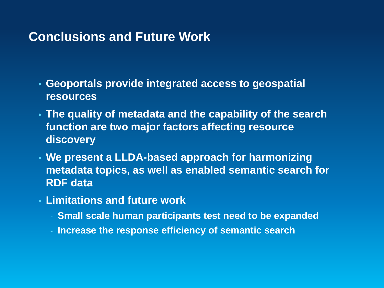## **Conclusions and Future Work**

- **Geoportals provide integrated access to geospatial resources**
- **The quality of metadata and the capability of the search function are two major factors affecting resource discovery**
- **We present a LLDA-based approach for harmonizing metadata topics, as well as enabled semantic search for RDF data**
- **Limitations and future work**
	- **Small scale human participants test need to be expanded**
	- **Increase the response efficiency of semantic search**